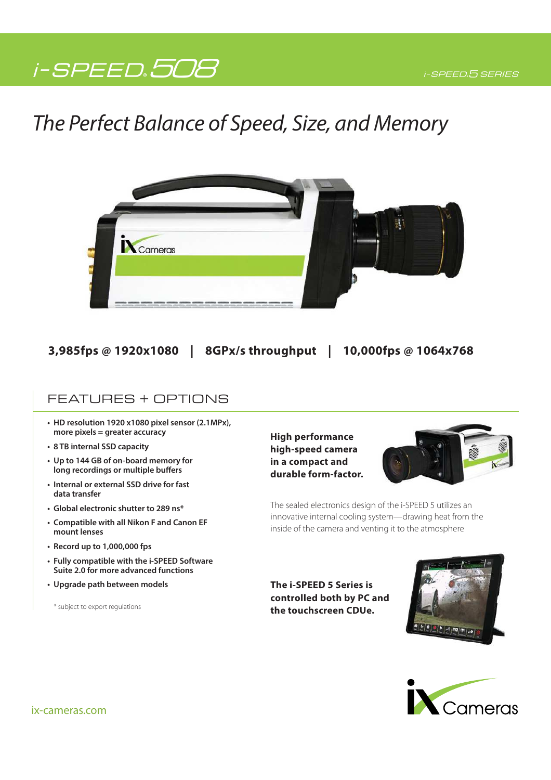# i-SPEED.508

## The Perfect Balance of Speed, Size, and Memory



**3,985fps @ 1920x1080 | 8GPx/s throughput | 10,000fps @ 1064x768**

## FEATURES + OPTIONS

- **HD resolution 1920 x1080 pixel sensor (2.1MPx), more pixels = greater accuracy**
- **8 TB internal SSD capacity**
- **Up to 144 GB of on-board memory for long recordings or multiple buffers**
- **Internal or external SSD drive for fast data transfer**
- **Global electronic shutter to 289 ns\***
- **Compatible with all Nikon F and Canon EF mount lenses**
- **Record up to 1,000,000 fps**
- **Fully compatible with the i-SPEED Software Suite 2.0 for more advanced functions**
- **Upgrade path between models**

\* subject to export regulations

**High performance high-speed camera in a compact and durable form-factor.**



The sealed electronics design of the i-SPEED 5 utilizes an innovative internal cooling system—drawing heat from the inside of the camera and venting it to the atmosphere

**The i-SPEED 5 Series is controlled both by PC and the touchscreen CDUe.**